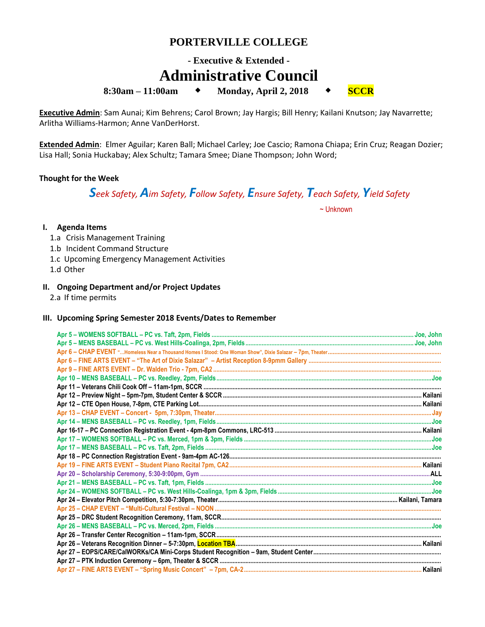## **PORTERVILLE COLLEGE**

# **- Executive & Extended - Administrative Council**

**8:30am** − **11:00am ↓** Monday, April 2, 2018 **↓** SCCR

**Executive Admin**: Sam Aunai; Kim Behrens; Carol Brown; Jay Hargis; Bill Henry; Kailani Knutson; Jay Navarrette; Arlitha Williams-Harmon; Anne VanDerHorst.

**Extended Admin**: Elmer Aguilar; Karen Ball; Michael Carley; Joe Cascio; Ramona Chiapa; Erin Cruz; Reagan Dozier; Lisa Hall; Sonia Huckabay; Alex Schultz; Tamara Smee; Diane Thompson; John Word;

#### **Thought for the Week**

*Seek Safety, Aim Safety, Follow Safety, Ensure Safety, Teach Safety, Yield Safety*

~ Unknown

#### **I. Agenda Items**

- 1.a Crisis Management Training
- 1.b Incident Command Structure
- 1.c Upcoming Emergency Management Activities
- 1.d Other

### **II. Ongoing Department and/or Project Updates**

2.a If time permits

#### **III. Upcoming Spring Semester 2018 Events/Dates to Remember**